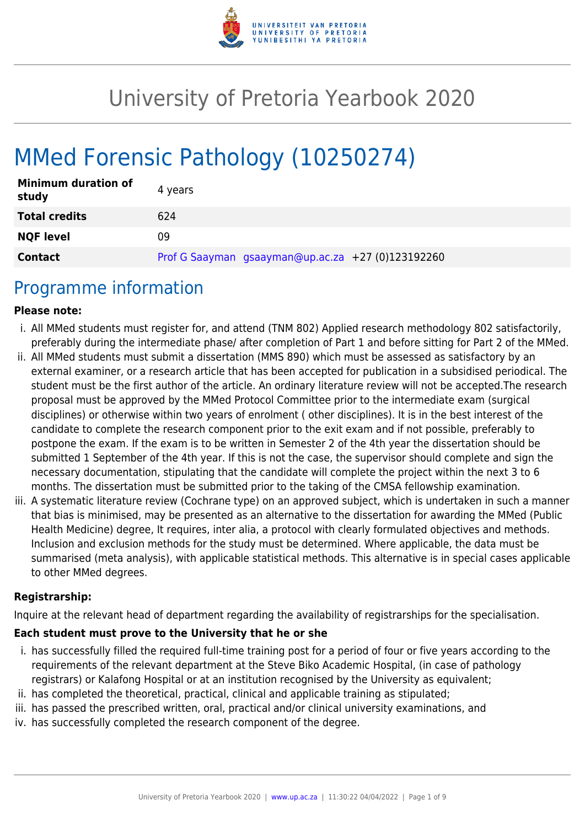

# University of Pretoria Yearbook 2020

# MMed Forensic Pathology (10250274)

| <b>Minimum duration of</b><br>study | 4 years                                           |
|-------------------------------------|---------------------------------------------------|
| <b>Total credits</b>                | 624                                               |
| <b>NQF level</b>                    | 09                                                |
| <b>Contact</b>                      | Prof G Saayman gsaayman@up.ac.za +27 (0)123192260 |

## Programme information

#### **Please note:**

- i. All MMed students must register for, and attend (TNM 802) Applied research methodology 802 satisfactorily, preferably during the intermediate phase/ after completion of Part 1 and before sitting for Part 2 of the MMed.
- ii. All MMed students must submit a dissertation (MMS 890) which must be assessed as satisfactory by an external examiner, or a research article that has been accepted for publication in a subsidised periodical. The student must be the first author of the article. An ordinary literature review will not be accepted.The research proposal must be approved by the MMed Protocol Committee prior to the intermediate exam (surgical disciplines) or otherwise within two years of enrolment ( other disciplines). It is in the best interest of the candidate to complete the research component prior to the exit exam and if not possible, preferably to postpone the exam. If the exam is to be written in Semester 2 of the 4th year the dissertation should be submitted 1 September of the 4th year. If this is not the case, the supervisor should complete and sign the necessary documentation, stipulating that the candidate will complete the project within the next 3 to 6 months. The dissertation must be submitted prior to the taking of the CMSA fellowship examination.
- iii. A systematic literature review (Cochrane type) on an approved subject, which is undertaken in such a manner that bias is minimised, may be presented as an alternative to the dissertation for awarding the MMed (Public Health Medicine) degree, It requires, inter alia, a protocol with clearly formulated objectives and methods. Inclusion and exclusion methods for the study must be determined. Where applicable, the data must be summarised (meta analysis), with applicable statistical methods. This alternative is in special cases applicable to other MMed degrees.

#### **Registrarship:**

Inquire at the relevant head of department regarding the availability of registrarships for the specialisation.

#### **Each student must prove to the University that he or she**

- i. has successfully filled the required full-time training post for a period of four or five years according to the requirements of the relevant department at the Steve Biko Academic Hospital, (in case of pathology registrars) or Kalafong Hospital or at an institution recognised by the University as equivalent;
- ii. has completed the theoretical, practical, clinical and applicable training as stipulated;
- iii. has passed the prescribed written, oral, practical and/or clinical university examinations, and
- iv. has successfully completed the research component of the degree.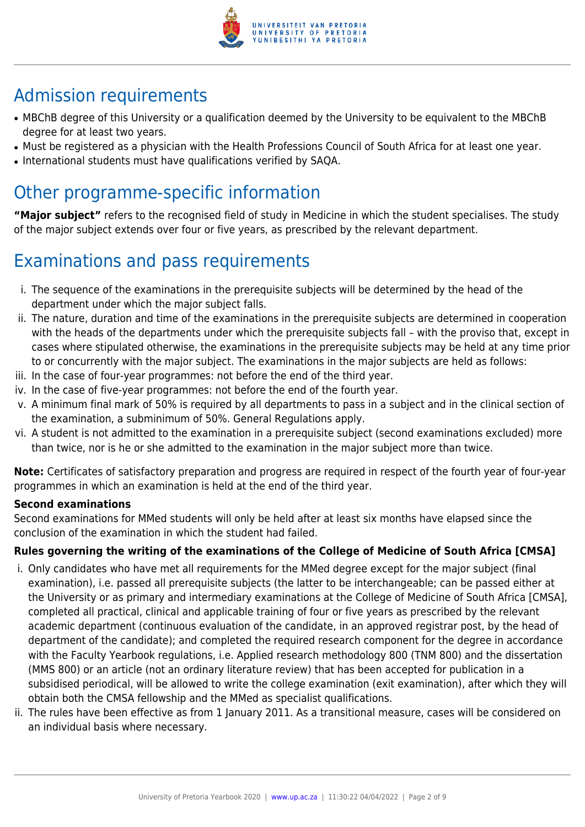

## Admission requirements

- MBChB degree of this University or a qualification deemed by the University to be equivalent to the MBChB degree for at least two years.
- Must be registered as a physician with the Health Professions Council of South Africa for at least one year.
- International students must have qualifications verified by SAQA.

## Other programme-specific information

**"Major subject"** refers to the recognised field of study in Medicine in which the student specialises. The study of the major subject extends over four or five years, as prescribed by the relevant department.

## Examinations and pass requirements

- i. The sequence of the examinations in the prerequisite subjects will be determined by the head of the department under which the major subject falls.
- ii. The nature, duration and time of the examinations in the prerequisite subjects are determined in cooperation with the heads of the departments under which the prerequisite subjects fall – with the proviso that, except in cases where stipulated otherwise, the examinations in the prerequisite subjects may be held at any time prior to or concurrently with the major subject. The examinations in the major subjects are held as follows:
- iii. In the case of four-year programmes: not before the end of the third year.
- iv. In the case of five-year programmes: not before the end of the fourth year.
- v. A minimum final mark of 50% is required by all departments to pass in a subject and in the clinical section of the examination, a subminimum of 50%. General Regulations apply.
- vi. A student is not admitted to the examination in a prerequisite subject (second examinations excluded) more than twice, nor is he or she admitted to the examination in the major subject more than twice.

**Note:** Certificates of satisfactory preparation and progress are required in respect of the fourth year of four-year programmes in which an examination is held at the end of the third year.

#### **Second examinations**

Second examinations for MMed students will only be held after at least six months have elapsed since the conclusion of the examination in which the student had failed.

## **Rules governing the writing of the examinations of the College of Medicine of South Africa [CMSA]**

- i. Only candidates who have met all requirements for the MMed degree except for the major subject (final examination), i.e. passed all prerequisite subjects (the latter to be interchangeable; can be passed either at the University or as primary and intermediary examinations at the College of Medicine of South Africa [CMSA], completed all practical, clinical and applicable training of four or five years as prescribed by the relevant academic department (continuous evaluation of the candidate, in an approved registrar post, by the head of department of the candidate); and completed the required research component for the degree in accordance with the Faculty Yearbook regulations, i.e. Applied research methodology 800 (TNM 800) and the dissertation (MMS 800) or an article (not an ordinary literature review) that has been accepted for publication in a subsidised periodical, will be allowed to write the college examination (exit examination), after which they will obtain both the CMSA fellowship and the MMed as specialist qualifications.
- ii. The rules have been effective as from 1 January 2011. As a transitional measure, cases will be considered on an individual basis where necessary.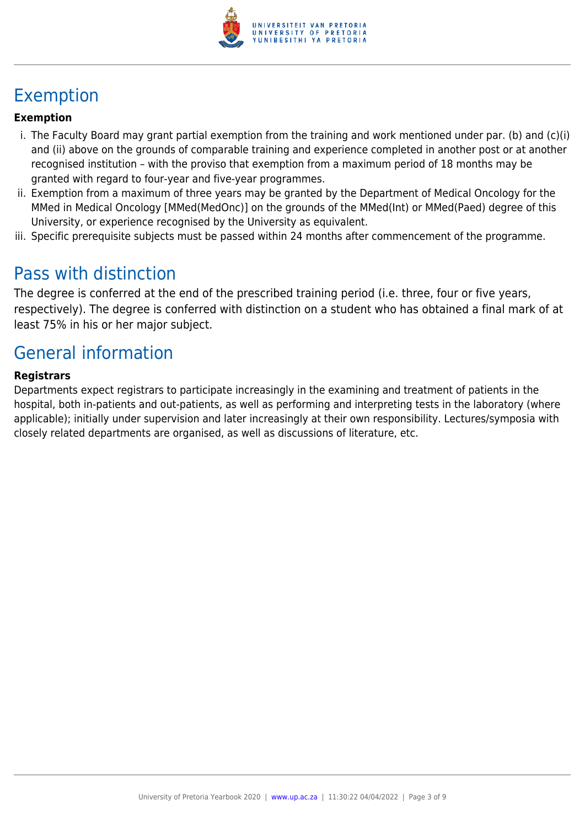

## Exemption

#### **Exemption**

- i. The Faculty Board may grant partial exemption from the training and work mentioned under par. (b) and (c)(i) and (ii) above on the grounds of comparable training and experience completed in another post or at another recognised institution – with the proviso that exemption from a maximum period of 18 months may be granted with regard to four-year and five-year programmes.
- ii. Exemption from a maximum of three years may be granted by the Department of Medical Oncology for the MMed in Medical Oncology [MMed(MedOnc)] on the grounds of the MMed(Int) or MMed(Paed) degree of this University, or experience recognised by the University as equivalent.
- iii. Specific prerequisite subjects must be passed within 24 months after commencement of the programme.

## Pass with distinction

The degree is conferred at the end of the prescribed training period (i.e. three, four or five years, respectively). The degree is conferred with distinction on a student who has obtained a final mark of at least 75% in his or her major subject.

## General information

#### **Registrars**

Departments expect registrars to participate increasingly in the examining and treatment of patients in the hospital, both in-patients and out-patients, as well as performing and interpreting tests in the laboratory (where applicable); initially under supervision and later increasingly at their own responsibility. Lectures/symposia with closely related departments are organised, as well as discussions of literature, etc.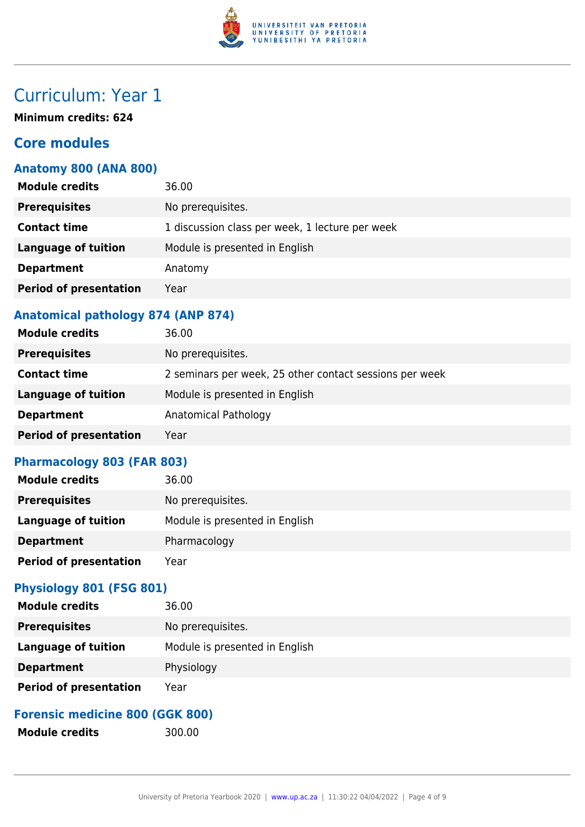

## Curriculum: Year 1

**Minimum credits: 624**

## **Core modules**

### **Anatomy 800 (ANA 800)**

| <b>Module credits</b>         | 36.00                                           |
|-------------------------------|-------------------------------------------------|
| <b>Prerequisites</b>          | No prerequisites.                               |
| <b>Contact time</b>           | 1 discussion class per week, 1 lecture per week |
| Language of tuition           | Module is presented in English                  |
| <b>Department</b>             | Anatomy                                         |
| <b>Period of presentation</b> | Year                                            |
|                               |                                                 |

### **Anatomical pathology 874 (ANP 874)**

| <b>Module credits</b>         | 36.00                                                   |
|-------------------------------|---------------------------------------------------------|
| <b>Prerequisites</b>          | No prerequisites.                                       |
| <b>Contact time</b>           | 2 seminars per week, 25 other contact sessions per week |
| <b>Language of tuition</b>    | Module is presented in English                          |
| <b>Department</b>             | Anatomical Pathology                                    |
| <b>Period of presentation</b> | Year                                                    |

### **Pharmacology 803 (FAR 803)**

| 36.00                          |
|--------------------------------|
| No prerequisites.              |
| Module is presented in English |
| Pharmacology                   |
| Year                           |
|                                |

## **Physiology 801 (FSG 801)**

| <b>Module credits</b>         | 36.00                          |
|-------------------------------|--------------------------------|
| <b>Prerequisites</b>          | No prerequisites.              |
| <b>Language of tuition</b>    | Module is presented in English |
| <b>Department</b>             | Physiology                     |
| <b>Period of presentation</b> | Year                           |

## **Forensic medicine 800 (GGK 800)**

Module credits 300.00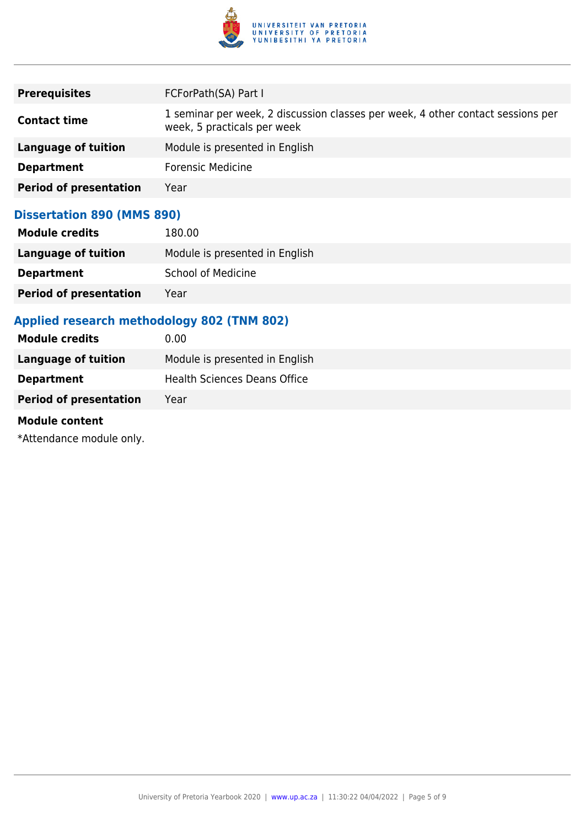

| <b>Prerequisites</b>          | FCForPath(SA) Part I                                                                                           |
|-------------------------------|----------------------------------------------------------------------------------------------------------------|
| <b>Contact time</b>           | 1 seminar per week, 2 discussion classes per week, 4 other contact sessions per<br>week, 5 practicals per week |
| Language of tuition           | Module is presented in English                                                                                 |
| <b>Department</b>             | <b>Forensic Medicine</b>                                                                                       |
| <b>Period of presentation</b> | Year                                                                                                           |

### **Dissertation 890 (MMS 890)**

| <b>Module credits</b>         | 180.00                         |
|-------------------------------|--------------------------------|
| Language of tuition           | Module is presented in English |
| <b>Department</b>             | <b>School of Medicine</b>      |
| <b>Period of presentation</b> | Year                           |

## **Applied research methodology 802 (TNM 802)**

| Module is presented in English      |
|-------------------------------------|
| <b>Health Sciences Deans Office</b> |
|                                     |
|                                     |

#### **Module content**

\*Attendance module only.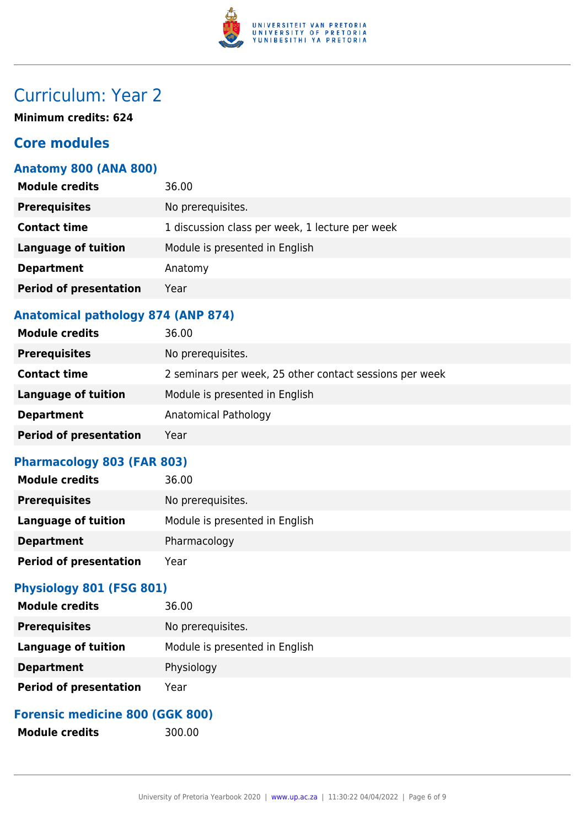

## Curriculum: Year 2

**Minimum credits: 624**

## **Core modules**

### **Anatomy 800 (ANA 800)**

| <b>Module credits</b>         | 36.00                                           |
|-------------------------------|-------------------------------------------------|
| <b>Prerequisites</b>          | No prerequisites.                               |
| <b>Contact time</b>           | 1 discussion class per week, 1 lecture per week |
| <b>Language of tuition</b>    | Module is presented in English                  |
| <b>Department</b>             | Anatomy                                         |
| <b>Period of presentation</b> | Year                                            |
|                               |                                                 |

### **Anatomical pathology 874 (ANP 874)**

| <b>Module credits</b>         | 36.00                                                   |
|-------------------------------|---------------------------------------------------------|
| <b>Prerequisites</b>          | No prerequisites.                                       |
| <b>Contact time</b>           | 2 seminars per week, 25 other contact sessions per week |
| <b>Language of tuition</b>    | Module is presented in English                          |
| <b>Department</b>             | Anatomical Pathology                                    |
| <b>Period of presentation</b> | Year                                                    |

### **Pharmacology 803 (FAR 803)**

| 36.00                          |
|--------------------------------|
| No prerequisites.              |
| Module is presented in English |
| Pharmacology                   |
| Year                           |
|                                |

## **Physiology 801 (FSG 801)**

| <b>Module credits</b>         | 36.00                          |
|-------------------------------|--------------------------------|
| <b>Prerequisites</b>          | No prerequisites.              |
| <b>Language of tuition</b>    | Module is presented in English |
| <b>Department</b>             | Physiology                     |
| <b>Period of presentation</b> | Year                           |

## **Forensic medicine 800 (GGK 800)**

Module credits 300.00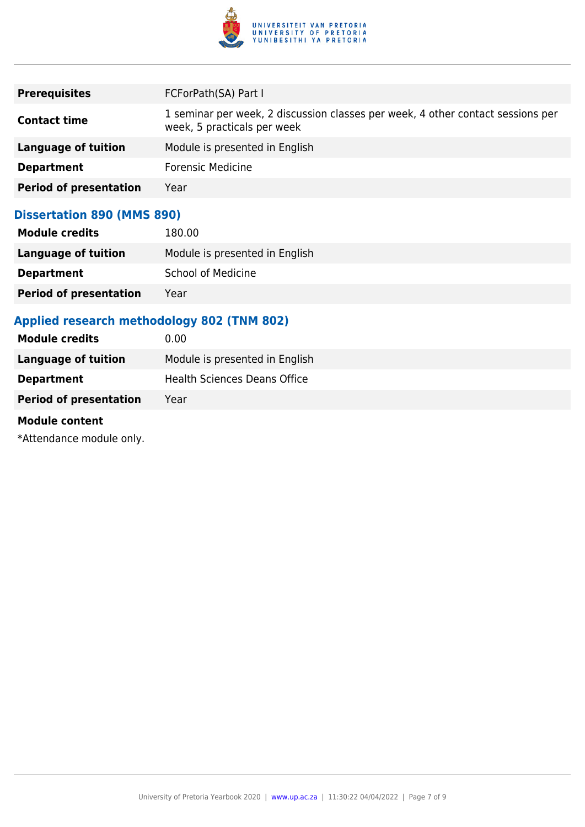

| <b>Prerequisites</b>          | FCForPath(SA) Part I                                                                                           |
|-------------------------------|----------------------------------------------------------------------------------------------------------------|
| <b>Contact time</b>           | 1 seminar per week, 2 discussion classes per week, 4 other contact sessions per<br>week, 5 practicals per week |
| Language of tuition           | Module is presented in English                                                                                 |
| <b>Department</b>             | <b>Forensic Medicine</b>                                                                                       |
| <b>Period of presentation</b> | Year                                                                                                           |

### **Dissertation 890 (MMS 890)**

| <b>Module credits</b>         | 180.00                         |
|-------------------------------|--------------------------------|
| Language of tuition           | Module is presented in English |
| <b>Department</b>             | <b>School of Medicine</b>      |
| <b>Period of presentation</b> | Year                           |

## **Applied research methodology 802 (TNM 802)**

| Module is presented in English      |
|-------------------------------------|
| <b>Health Sciences Deans Office</b> |
|                                     |
|                                     |

#### **Module content**

\*Attendance module only.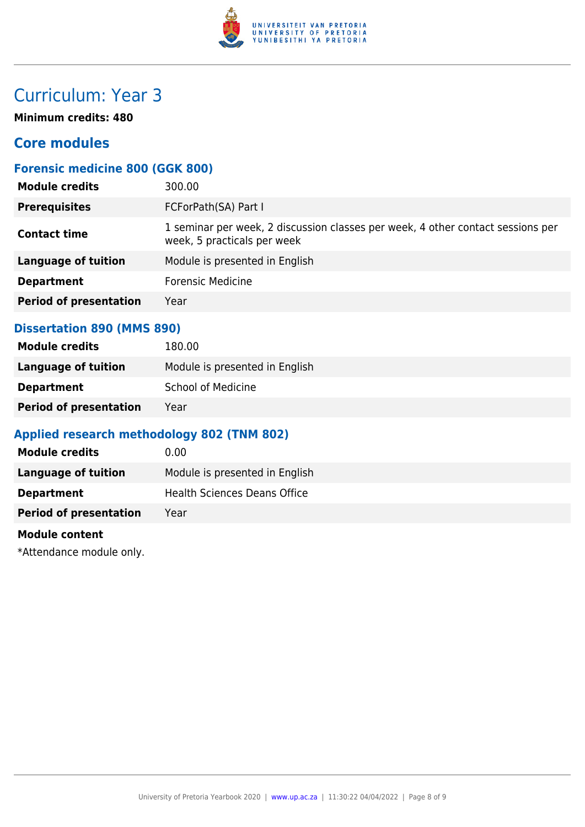

## Curriculum: Year 3

**Minimum credits: 480**

## **Core modules**

## **Forensic medicine 800 (GGK 800)**

| 300.00                                                                                                         |
|----------------------------------------------------------------------------------------------------------------|
| FCForPath(SA) Part I                                                                                           |
| 1 seminar per week, 2 discussion classes per week, 4 other contact sessions per<br>week, 5 practicals per week |
| Module is presented in English                                                                                 |
| <b>Forensic Medicine</b>                                                                                       |
| Year                                                                                                           |
|                                                                                                                |

#### **Dissertation 890 (MMS 890)**

| <b>Module credits</b>         | 180.00                         |
|-------------------------------|--------------------------------|
| Language of tuition           | Module is presented in English |
| <b>Department</b>             | <b>School of Medicine</b>      |
| <b>Period of presentation</b> | Year                           |

## **Applied research methodology 802 (TNM 802)**

| <b>Module credits</b>         | 0.00                                |
|-------------------------------|-------------------------------------|
| Language of tuition           | Module is presented in English      |
| <b>Department</b>             | <b>Health Sciences Deans Office</b> |
| <b>Period of presentation</b> | Year                                |

#### **Module content**

\*Attendance module only.